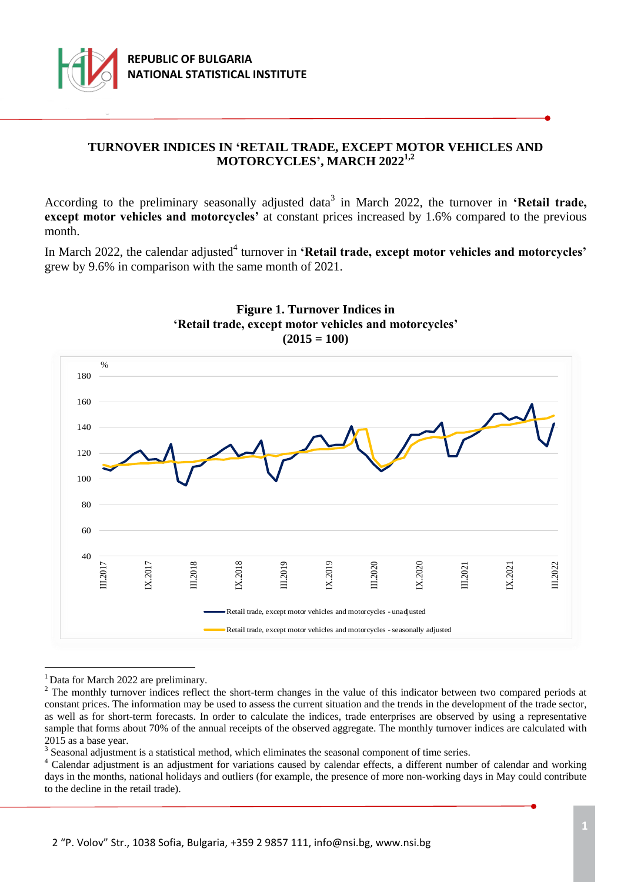

# **TURNOVER INDICES IN 'RETAIL TRADE, EXCEPT MOTOR VEHICLES AND MOTORCYCLES', MARCH 2022 1,2**

According to the preliminary seasonally adjusted data<sup>3</sup> in March 2022, the turnover in 'Retail trade, **except motor vehicles and motorcycles'** at constant prices increased by 1.6% compared to the previous month.

In March 2022, the calendar adjusted<sup>4</sup> turnover in **'Retail trade, except motor vehicles and motorcycles'** grew by 9.6% in comparison with the same month of 2021.





<sup>1</sup> Data for March 2022 are preliminary.

÷.

 $3$  Seasonal adjustment is a statistical method, which eliminates the seasonal component of time series.

<sup>&</sup>lt;sup>2</sup> The monthly turnover indices reflect the short-term changes in the value of this indicator between two compared periods at constant prices. The information may be used to assess the current situation and the trends in the development of the trade sector, as well as for short-term forecasts. In order to calculate the indices, trade enterprises are observed by using a representative sample that forms about 70% of the annual receipts of the observed aggregate. The monthly turnover indices are calculated with 2015 as a base year.

<sup>4</sup> Calendar adjustment is an adjustment for variations caused by calendar effects, a different number of calendar and working days in the months, national holidays and outliers (for example, the presence of more non-working days in May could contribute to the decline in the retail trade).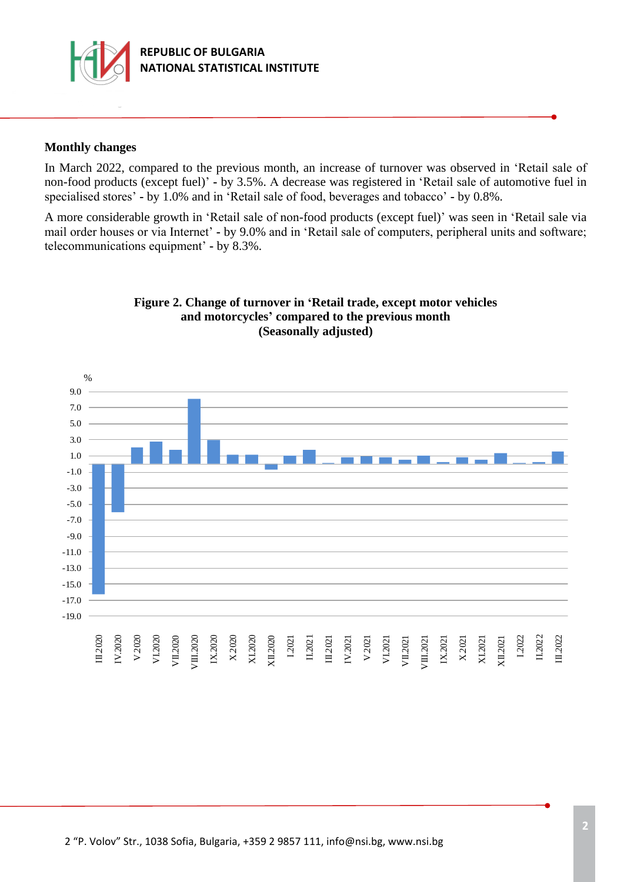

## **Monthly changes**

In March 2022, compared to the previous month, an increase of turnover was observed in 'Retail sale of non-food products (except fuel)' **-** by 3.5%. А decrease was registered in 'Retail sale of automotive fuel in specialised stores' **-** by 1.0% and in 'Retail sale of food, beverages and tobacco' **-** by 0.8%.

A more considerable growth in 'Retail sale of non-food products (except fuel)' was seen in 'Retail sale via mail order houses or via Internet' **-** by 9.0% and in 'Retail sale of computers, peripheral units and software; telecommunications equipment' **-** by 8.3%.



# **Figure 2. Change of turnover in 'Retail trade, except motor vehicles and motorcycles' compared to the previous month (Seasonally adjusted)**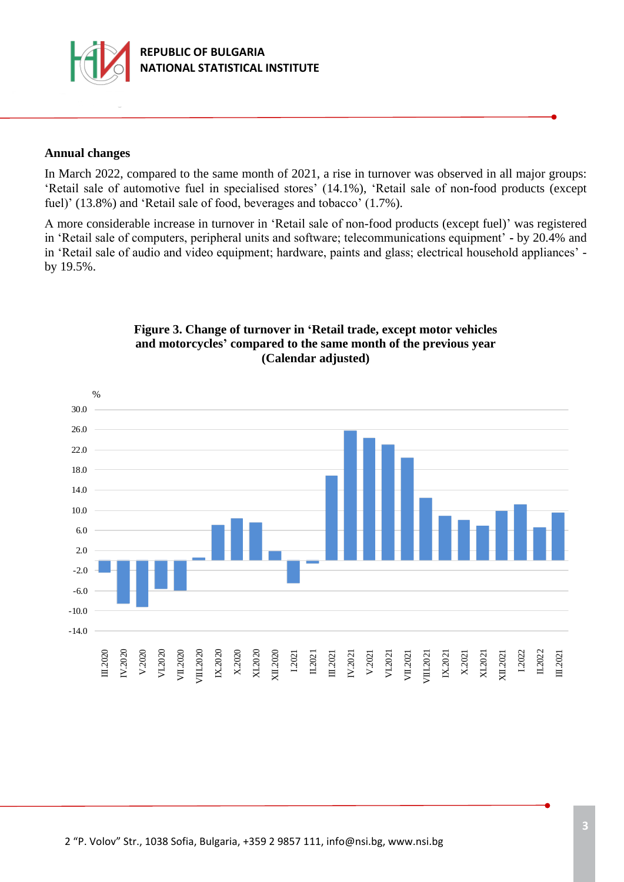

#### **Annual changes**

In March 2022, compared to the same month of 2021, a rise in turnover was observed in all major groups: 'Retail sale of automotive fuel in specialised stores' (14.1%), 'Retail sale of non**-**food products (except fuel)' (13.8%) and 'Retail sale of food, beverages and tobacco' (1.7%).

А more considerable increase in turnover in 'Retail sale of non-food products (except fuel)' was registered in 'Retail sale of computers, peripheral units and software; telecommunications equipment' **-** by 20.4% and in 'Retail sale of audio and video equipment; hardware, paints and glass; electrical household appliances' by 19.5%.



#### **Figure 3. Change of turnover in 'Retail trade, except motor vehicles and motorcycles' compared to the same month of the previous year (Calendar adjusted)**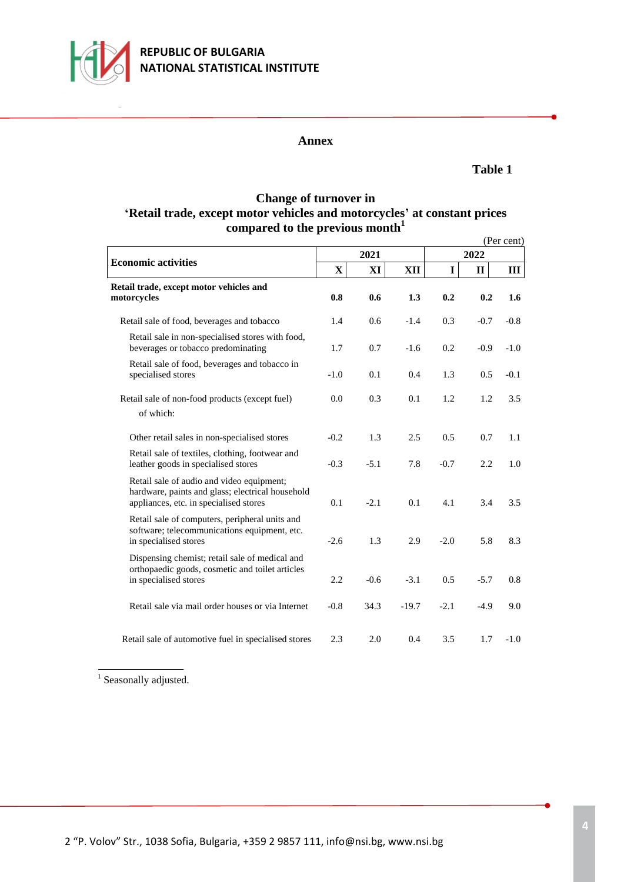

# **REPUBLIC OF BULGARIA NATIONAL STATISTICAL INSTITUTE**

#### **Annex**

### **Table 1**

## **Change of turnover in 'Retail trade, except motor vehicles and motorcycles' at constant prices compared to the previous month<sup>1</sup>**

|                                                                                                                                         |             |        |         |             |              | (Per cent) |  |
|-----------------------------------------------------------------------------------------------------------------------------------------|-------------|--------|---------|-------------|--------------|------------|--|
| <b>Economic activities</b>                                                                                                              |             | 2021   |         | 2022        |              |            |  |
|                                                                                                                                         | $\mathbf X$ | XI     | XII     | $\mathbf I$ | $\mathbf{I}$ | Ш          |  |
| Retail trade, except motor vehicles and<br>motorcycles                                                                                  | 0.8         | 0.6    | 1.3     | 0.2         | 0.2          | 1.6        |  |
| Retail sale of food, beverages and tobacco                                                                                              | 1.4         | 0.6    | $-1.4$  | 0.3         | $-0.7$       | $-0.8$     |  |
| Retail sale in non-specialised stores with food,<br>beverages or tobacco predominating                                                  | 1.7         | 0.7    | $-1.6$  | 0.2         | $-0.9$       | $-1.0$     |  |
| Retail sale of food, beverages and tobacco in<br>specialised stores                                                                     | $-1.0$      | 0.1    | 0.4     | 1.3         | 0.5          | $-0.1$     |  |
| Retail sale of non-food products (except fuel)<br>of which:                                                                             | 0.0         | 0.3    | 0.1     | 1.2         | 1.2          | 3.5        |  |
| Other retail sales in non-specialised stores                                                                                            | $-0.2$      | 1.3    | 2.5     | 0.5         | 0.7          | 1.1        |  |
| Retail sale of textiles, clothing, footwear and<br>leather goods in specialised stores                                                  | $-0.3$      | $-5.1$ | 7.8     | $-0.7$      | 2.2          | 1.0        |  |
| Retail sale of audio and video equipment;<br>hardware, paints and glass; electrical household<br>appliances, etc. in specialised stores | 0.1         | $-2.1$ | 0.1     | 4.1         | 3.4          | 3.5        |  |
| Retail sale of computers, peripheral units and<br>software; telecommunications equipment, etc.<br>in specialised stores                 | $-2.6$      | 1.3    | 2.9     | $-2.0$      | 5.8          | 8.3        |  |
| Dispensing chemist; retail sale of medical and<br>orthopaedic goods, cosmetic and toilet articles<br>in specialised stores              | 2.2         | $-0.6$ | $-3.1$  | 0.5         | $-5.7$       | 0.8        |  |
| Retail sale via mail order houses or via Internet                                                                                       | $-0.8$      | 34.3   | $-19.7$ | $-2.1$      | $-4.9$       | 9.0        |  |
| Retail sale of automotive fuel in specialised stores                                                                                    | 2.3         | 2.0    | 0.4     | 3.5         | 1.7          | $-1.0$     |  |

<sup>1</sup> Seasonally adjusted.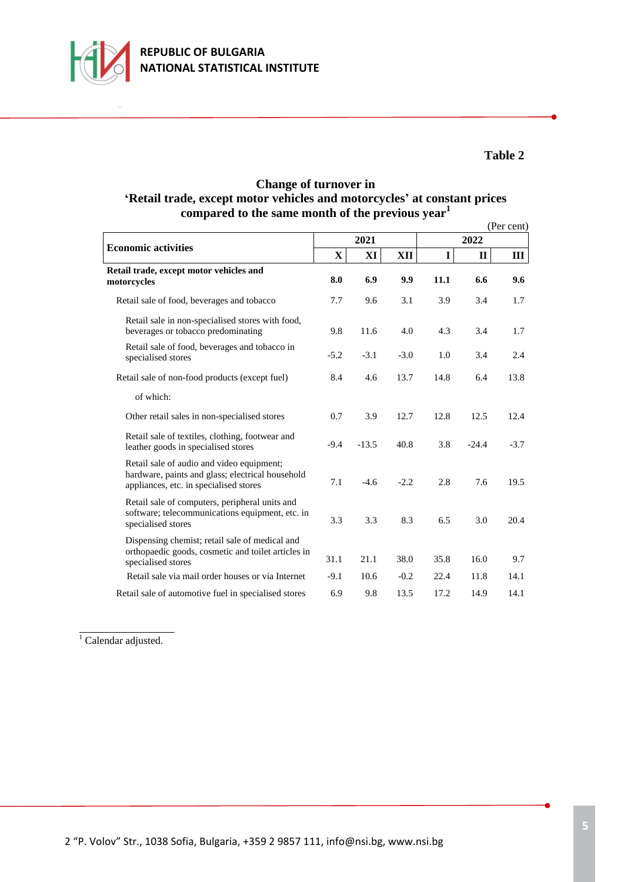

# **Table 2**

## **Change of turnover in 'Retail trade, except motor vehicles and motorcycles' at constant prices compared to the same month of the previous year<sup>1</sup>**

|                                                                                                                                         |             |         |        |      |              | (Per cent) |  |  |
|-----------------------------------------------------------------------------------------------------------------------------------------|-------------|---------|--------|------|--------------|------------|--|--|
| <b>Economic activities</b>                                                                                                              |             | 2021    |        | 2022 |              |            |  |  |
|                                                                                                                                         | $\mathbf X$ | XI      | XII    | I    | $\mathbf{I}$ | Ш          |  |  |
| Retail trade, except motor vehicles and<br>motorcycles                                                                                  | 8.0         | 6.9     | 9.9    | 11.1 | 6.6          | 9.6        |  |  |
| Retail sale of food, beverages and tobacco                                                                                              | 7.7         | 9.6     | 3.1    | 3.9  | 3.4          | 1.7        |  |  |
| Retail sale in non-specialised stores with food,<br>beverages or tobacco predominating                                                  | 9.8         | 11.6    | 4.0    | 4.3  | 3.4          | 1.7        |  |  |
| Retail sale of food, beverages and tobacco in<br>specialised stores                                                                     | $-5.2$      | $-3.1$  | $-3.0$ | 1.0  | 3.4          | 2.4        |  |  |
| Retail sale of non-food products (except fuel)                                                                                          | 8.4         | 4.6     | 13.7   | 14.8 | 6.4          | 13.8       |  |  |
| of which:                                                                                                                               |             |         |        |      |              |            |  |  |
| Other retail sales in non-specialised stores                                                                                            | 0.7         | 3.9     | 12.7   | 12.8 | 12.5         | 12.4       |  |  |
| Retail sale of textiles, clothing, footwear and<br>leather goods in specialised stores                                                  | $-9.4$      | $-13.5$ | 40.8   | 3.8  | $-24.4$      | $-3.7$     |  |  |
| Retail sale of audio and video equipment;<br>hardware, paints and glass; electrical household<br>appliances, etc. in specialised stores | 7.1         | $-4.6$  | $-2.2$ | 2.8  | 7.6          | 19.5       |  |  |
| Retail sale of computers, peripheral units and<br>software; telecommunications equipment, etc. in<br>specialised stores                 | 3.3         | 3.3     | 8.3    | 6.5  | 3.0          | 20.4       |  |  |
| Dispensing chemist; retail sale of medical and<br>orthopaedic goods, cosmetic and toilet articles in<br>specialised stores              | 31.1        | 21.1    | 38.0   | 35.8 | 16.0         | 9.7        |  |  |
| Retail sale via mail order houses or via Internet                                                                                       | $-9.1$      | 10.6    | $-0.2$ | 22.4 | 11.8         | 14.1       |  |  |
| Retail sale of automotive fuel in specialised stores                                                                                    | 6.9         | 9.8     | 13.5   | 17.2 | 14.9         | 14.1       |  |  |

 $\overline{1}$  Calendar adjusted.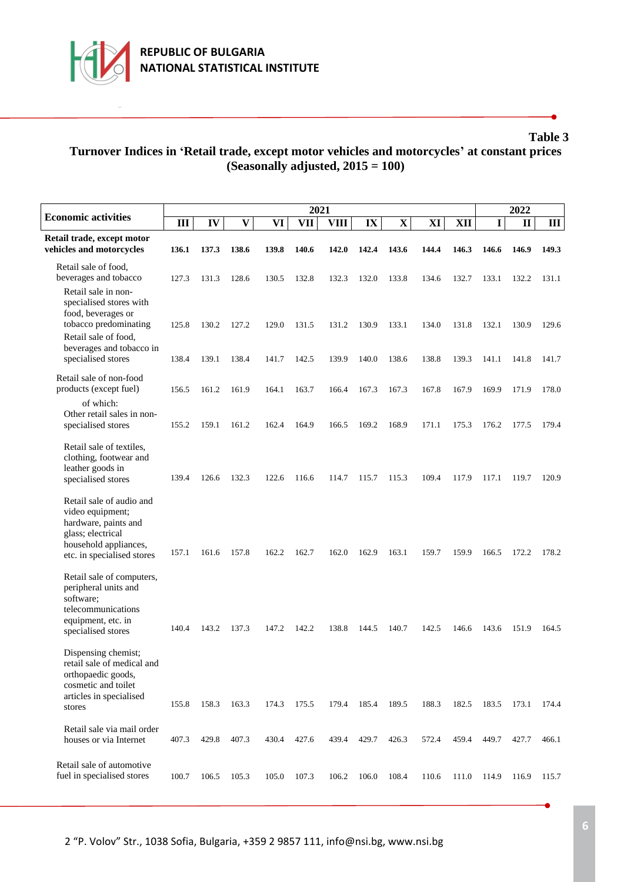

ı

# **Table 3 Turnover Indices in 'Retail trade, except motor vehicles and motorcycles' at constant prices (Seasonally adjusted, 2015 = 100)**

|                                                                                                                                                  |       |       | 2022         |       |             |             |                         |             |       |       |       |              |       |
|--------------------------------------------------------------------------------------------------------------------------------------------------|-------|-------|--------------|-------|-------------|-------------|-------------------------|-------------|-------|-------|-------|--------------|-------|
| <b>Economic activities</b>                                                                                                                       | III   | IV    | $\mathbf{V}$ | VI    | 2021<br>VII | <b>VIII</b> | $\mathbf{I} \mathbf{X}$ | $\mathbf X$ | XI    | XII   | I     | $\mathbf{I}$ | Ш     |
| Retail trade, except motor<br>vehicles and motorcycles                                                                                           | 136.1 | 137.3 | 138.6        | 139.8 | 140.6       | 142.0       | 142.4                   | 143.6       | 144.4 | 146.3 | 146.6 | 146.9        | 149.3 |
| Retail sale of food,<br>beverages and tobacco                                                                                                    | 127.3 | 131.3 | 128.6        | 130.5 | 132.8       | 132.3       | 132.0                   | 133.8       | 134.6 | 132.7 | 133.1 | 132.2        | 131.1 |
| Retail sale in non-<br>specialised stores with<br>food, beverages or<br>tobacco predominating<br>Retail sale of food,                            | 125.8 | 130.2 | 127.2        | 129.0 | 131.5       | 131.2       | 130.9                   | 133.1       | 134.0 | 131.8 | 132.1 | 130.9        | 129.6 |
| beverages and tobacco in<br>specialised stores                                                                                                   | 138.4 | 139.1 | 138.4        | 141.7 | 142.5       | 139.9       | 140.0                   | 138.6       | 138.8 | 139.3 | 141.1 | 141.8        | 141.7 |
| Retail sale of non-food<br>products (except fuel)<br>of which:                                                                                   | 156.5 | 161.2 | 161.9        | 164.1 | 163.7       | 166.4       | 167.3                   | 167.3       | 167.8 | 167.9 | 169.9 | 171.9        | 178.0 |
| Other retail sales in non-<br>specialised stores                                                                                                 | 155.2 | 159.1 | 161.2        | 162.4 | 164.9       | 166.5       | 169.2                   | 168.9       | 171.1 | 175.3 | 176.2 | 177.5        | 179.4 |
| Retail sale of textiles,<br>clothing, footwear and<br>leather goods in<br>specialised stores                                                     | 139.4 | 126.6 | 132.3        | 122.6 | 116.6       | 114.7       | 115.7                   | 115.3       | 109.4 | 117.9 | 117.1 | 119.7        | 120.9 |
| Retail sale of audio and<br>video equipment;<br>hardware, paints and<br>glass; electrical<br>household appliances,<br>etc. in specialised stores | 157.1 | 161.6 | 157.8        | 162.2 | 162.7       | 162.0       | 162.9                   | 163.1       | 159.7 | 159.9 | 166.5 | 172.2        | 178.2 |
| Retail sale of computers,<br>peripheral units and<br>software;<br>telecommunications<br>equipment, etc. in<br>specialised stores                 | 140.4 | 143.2 | 137.3        | 147.2 | 142.2       | 138.8       | 144.5                   | 140.7       | 142.5 | 146.6 | 143.6 | 151.9        | 164.5 |
| Dispensing chemist;<br>retail sale of medical and<br>orthopaedic goods,<br>cosmetic and toilet<br>articles in specialised<br>stores              | 155.8 | 158.3 | 163.3        | 174.3 | 175.5       | 179.4       | 185.4                   | 189.5       | 188.3 | 182.5 | 183.5 | 173.1        | 174.4 |
| Retail sale via mail order<br>houses or via Internet                                                                                             | 407.3 | 429.8 | 407.3        | 430.4 | 427.6       | 439.4       | 429.7                   | 426.3       | 572.4 | 459.4 | 449.7 | 427.7        | 466.1 |
| Retail sale of automotive<br>fuel in specialised stores                                                                                          | 100.7 | 106.5 | 105.3        | 105.0 | 107.3       | 106.2       | 106.0                   | 108.4       | 110.6 | 111.0 | 114.9 | 116.9        | 115.7 |